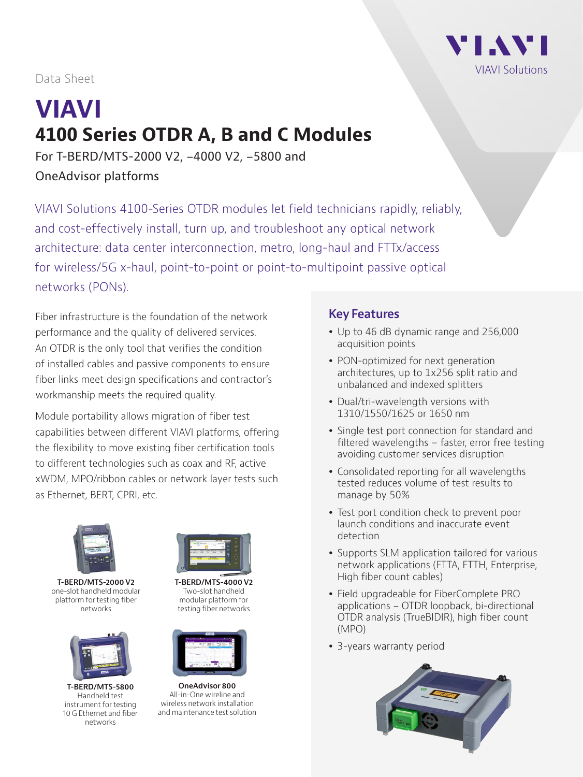

Data Sheet

# **VIAVI 4100 Series OTDR A, B and C Modules**

For T-BERD/MTS-2000 V2, -4000 V2, -5800 and OneAdvisor platforms

VIAVI Solutions 4100-Series OTDR modules let field technicians rapidly, reliably, and cost-effectively install, turn up, and troubleshoot any optical network architecture: data center interconnection, metro, long-haul and FTTx/access for wireless/5G x-haul, point-to-point or point-to-multipoint passive optical networks (PONs).

Fiber infrastructure is the foundation of the network performance and the quality of delivered services. An OTDR is the only tool that verifies the condition of installed cables and passive components to ensure fiber links meet design specifications and contractor's workmanship meets the required quality.

Module portability allows migration of fiber test capabilities between different VIAVI platforms, offering the flexibility to move existing fiber certification tools to different technologies such as coax and RF, active xWDM, MPO/ribbon cables or network layer tests such as Ethernet, BERT, CPRI, etc.



**T-BERD/MTS-2000 V2**  one-slot handheld modular platform for testing fiber networks



**T-BERD/MTS-5800** Handheld test instrument for testing 10 G Ethernet and fiber networks



**T-BERD/MTS-4000 V2** Two-slot handheld modular platform for testing fiber networks



**OneAdvisor 800** All-in-One wireline and wireless network installation and maintenance test solution

#### **Key Features**

- Up to 46 dB dynamic range and 256,000 acquisition points
- PON-optimized for next generation architectures, up to 1x256 split ratio and unbalanced and indexed splitters
- Dual/tri-wavelength versions with 1310/1550/1625 or 1650 nm
- Single test port connection for standard and filtered wavelengths – faster, error free testing avoiding customer services disruption
- Consolidated reporting for all wavelengths tested reduces volume of test results to manage by 50%
- Test port condition check to prevent poor launch conditions and inaccurate event detection
- Supports SLM application tailored for various network applications (FTTA, FTTH, Enterprise, High fiber count cables)
- Field upgradeable for FiberComplete PRO applications - OTDR loopback, bi-directional OTDR analysis (TrueBIDIR), high fiber count (MPO)
- 3-years warranty period

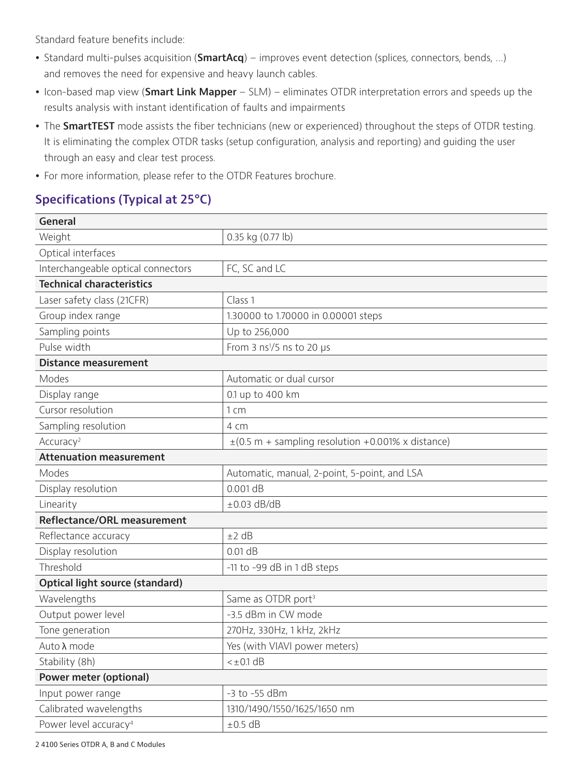Standard feature benefits include:

- Standard multi-pulses acquisition (**SmartAcq**) improves event detection (splices, connectors, bends, ...) and removes the need for expensive and heavy launch cables.
- Icon-based map view (**Smart Link Mapper** SLM) eliminates OTDR interpretation errors and speeds up the results analysis with instant identification of faults and impairments
- The **SmartTEST** mode assists the fiber technicians (new or experienced) throughout the steps of OTDR testing. It is eliminating the complex OTDR tasks (setup configuration, analysis and reporting) and guiding the user through an easy and clear test process.
- For more information, please refer to the OTDR Features brochure.

# **Specifications (Typical at 25°C)**

| <b>General</b>                     |                                                        |
|------------------------------------|--------------------------------------------------------|
| Weight                             | 0.35 kg (0.77 lb)                                      |
| Optical interfaces                 |                                                        |
| Interchangeable optical connectors | FC, SC and LC                                          |
| <b>Technical characteristics</b>   |                                                        |
| Laser safety class (21CFR)         | Class 1                                                |
| Group index range                  | 1.30000 to 1.70000 in 0.00001 steps                    |
| Sampling points                    | Up to 256,000                                          |
| Pulse width                        | From 3 $ns1/5$ ns to 20 $\mu s$                        |
| <b>Distance measurement</b>        |                                                        |
| Modes                              | Automatic or dual cursor                               |
| Display range                      | 0.1 up to 400 km                                       |
| Cursor resolution                  | 1 cm                                                   |
| Sampling resolution                | 4 cm                                                   |
| Accuracy <sup>2</sup>              | $\pm$ (0.5 m + sampling resolution +0.001% x distance) |
| <b>Attenuation measurement</b>     |                                                        |
| Modes                              | Automatic, manual, 2-point, 5-point, and LSA           |
| Display resolution                 | $0.001$ dB                                             |
| Linearity                          | $\pm 0.03$ dB/dB                                       |
| Reflectance/ORL measurement        |                                                        |
| Reflectance accuracy               | ±2 dB                                                  |
| Display resolution                 | $0.01$ dB                                              |
| Threshold                          | -11 to -99 dB in 1 dB steps                            |
| Optical light source (standard)    |                                                        |
| Wavelengths                        | Same as OTDR port <sup>3</sup>                         |
| Output power level                 | -3.5 dBm in CW mode                                    |
| Tone generation                    | 270Hz, 330Hz, 1 kHz, 2kHz                              |
| Auto λ mode                        | Yes (with VIAVI power meters)                          |
| Stability (8h)                     | $<\pm 0.1$ dB                                          |
| Power meter (optional)             |                                                        |
| Input power range                  | -3 to -55 dBm                                          |
| Calibrated wavelengths             | 1310/1490/1550/1625/1650 nm                            |
| Power level accuracy <sup>4</sup>  | $\pm 0.5$ dB                                           |

2 4100 Series OTDR A, B and C Modules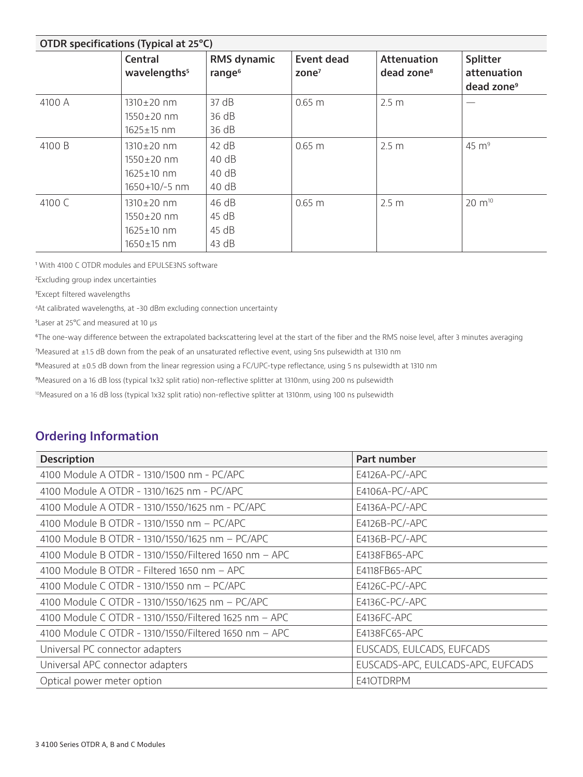| OTDR specifications (Typical at 25°C) |                                                                              |                                   |                               |                                              |                                                   |  |  |
|---------------------------------------|------------------------------------------------------------------------------|-----------------------------------|-------------------------------|----------------------------------------------|---------------------------------------------------|--|--|
|                                       | <b>Central</b><br>wavelengths <sup>5</sup>                                   | RMS dynamic<br>range <sup>6</sup> | <b>Event dead</b><br>zone $7$ | <b>Attenuation</b><br>dead zone <sup>8</sup> | Splitter<br>attenuation<br>dead zone <sup>9</sup> |  |  |
| 4100 A                                | $1310 \pm 20$ nm<br>$1550 \pm 20$ nm<br>$1625 \pm 15$ nm                     | 37 dB<br>36 dB<br>36 dB           | $0.65 \; m$                   | 2.5 <sub>m</sub>                             |                                                   |  |  |
| 4100 B                                | $1310 \pm 20$ nm<br>$1550 \pm 20$ nm<br>$1625 \pm 10$ nm<br>$1650+10/-5$ nm  | 42 dB<br>40 dB<br>40 dB<br>40 dB  | $0.65 \; m$                   | 2.5 <sub>m</sub>                             | $45 \text{ m}^9$                                  |  |  |
| 4100 C                                | $1310 \pm 20$ nm<br>$1550 \pm 20$ nm<br>$1625 \pm 10$ nm<br>$1650 \pm 15$ nm | 46 dB<br>45 dB<br>45 dB<br>43 dB  | $0.65 \; m$                   | 2.5 <sub>m</sub>                             | $20 \; \mathrm{m}^{10}$                           |  |  |

<sup>1</sup> With 4100 C OTDR modules and EPULSE3NS software

²Excluding group index uncertainties

<sup>3</sup>Except filtered wavelengths

4At calibrated wavelengths, at -30 dBm excluding connection uncertainty

⁵Laser at 25°C and measured at 10 µs

⁶The one-way difference between the extrapolated backscattering level at the start of the fiber and the RMS noise level, after 3 minutes averaging

⁷Measured at ±1.5 dB down from the peak of an unsaturated reflective event, using 5ns pulsewidth at 1310 nm

⁸Measured at ±0.5 dB down from the linear regression using a FC/UPC-type reflectance, using 5 ns pulsewidth at 1310 nm

⁹Measured on a 16 dB loss (typical 1x32 split ratio) non-reflective splitter at 1310nm, using 200 ns pulsewidth

10Measured on a 16 dB loss (typical 1x32 split ratio) non-reflective splitter at 1310nm, using 100 ns pulsewidth

#### **Ordering Information**

| <b>Description</b>                                    | Part number                       |
|-------------------------------------------------------|-----------------------------------|
| 4100 Module A OTDR - 1310/1500 nm - PC/APC            | $E4126A-PC/-APC$                  |
| 4100 Module A OTDR - 1310/1625 nm - PC/APC            | E4106A-PC/-APC                    |
| 4100 Module A OTDR - 1310/1550/1625 nm - PC/APC       | E4136A-PC/-APC                    |
| 4100 Module B OTDR - 1310/1550 nm - PC/APC            | E4126B-PC/-APC                    |
| 4100 Module B OTDR - 1310/1550/1625 nm - PC/APC       | $E4136B-PC/-APC$                  |
| 4100 Module B OTDR - 1310/1550/Filtered 1650 nm - APC | E4138FB65-APC                     |
| 4100 Module B OTDR - Filtered 1650 nm - APC           | E4118FB65-APC                     |
| 4100 Module C OTDR - 1310/1550 nm - PC/APC            | E4126C-PC/-APC                    |
| 4100 Module C OTDR - 1310/1550/1625 nm - PC/APC       | E4136C-PC/-APC                    |
| 4100 Module C OTDR - 1310/1550/Filtered 1625 nm - APC | E4136FC-APC                       |
| 4100 Module C OTDR - 1310/1550/Filtered 1650 nm - APC | E4138FC65-APC                     |
| Universal PC connector adapters                       | EUSCADS, EULCADS, EUFCADS         |
| Universal APC connector adapters                      | EUSCADS-APC, EULCADS-APC, EUFCADS |
| Optical power meter option                            | E41OTDRPM                         |